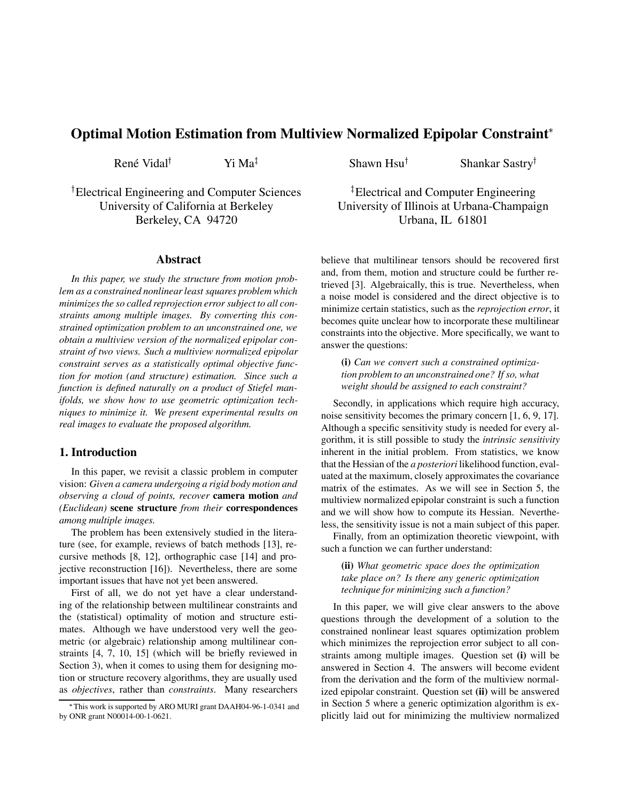# **Optimal Motion Estimation from Multiview Normalized Epipolar Constraint**

René Vidal<sup>†</sup> Yi Ma

<sup>†</sup>Electrical Engineering and Computer Sciences <sup>†</sup>Electr Berkeley, CA 94720 Urbana, IL 61801

### **Abstract**

*In this paper, we study the structure from motion problem as a constrained nonlinear least squares problem which minimizes the so called reprojection error subject to all constraints among multiple images. By converting this constrained optimization problem to an unconstrained one, we obtain a multiview version of the normalized epipolar constraint of two views. Such a multiview normalized epipolar constraint serves as a statistically optimal objective function for motion (and structure) estimation. Since such a function is defined naturally on a product of Stiefel manifolds, we show how to use geometric optimization techniques to minimize it. We present experimental results on real images to evaluate the proposed algorithm.*

# **1. Introduction**

In this paper, we revisit a classic problem in computer vision: *Given a camera undergoing a rigid body motion and observing a cloud of points, recover* **camera motion** *and (Euclidean)* **scene structure** *from their* **correspondences** *among multiple images.*

The problem has been extensively studied in the literature (see, for example, reviews of batch methods [13], recursive methods [8, 12], orthographic case [14] and projective reconstruction [16]). Nevertheless, there are some important issues that have not yet been answered.

First of all, we do not yet have a clear understanding of the relationship between multilinear constraints and the (statistical) optimality of motion and structure estimates. Although we have understood very well the geometric (or algebraic) relationship among multilinear constraints [4, 7, 10, 15] (which will be briefly reviewed in Section 3), when it comes to using them for designing motion or structure recovery algorithms, they are usually used as *objectives*, rather than *constraints*. Many researchers Shawn Hsu

Shankar Sastry

Electrical and Computer Engineering University of California at Berkeley University of Illinois at Urbana-Champaign

> believe that multilinear tensors should be recovered first and, from them, motion and structure could be further retrieved [3]. Algebraically, this is true. Nevertheless, when a noise model is considered and the direct objective is to minimize certain statistics, such as the *reprojection error*, it becomes quite unclear how to incorporate these multilinear constraints into the objective. More specifically, we want to answer the questions:

**(i)** *Can we convert such a constrained optimization problem to an unconstrained one? If so, what weight should be assigned to each constraint?*

Secondly, in applications which require high accuracy, noise sensitivity becomes the primary concern [1, 6, 9, 17]. Although a specific sensitivity study is needed for every algorithm, it is still possible to study the *intrinsic sensitivity* inherent in the initial problem. From statistics, we know that the Hessian of the *a posteriori* likelihood function, evaluated at the maximum, closely approximates the covariance matrix of the estimates. As we will see in Section 5, the multiview normalized epipolar constraint is such a function and we will show how to compute its Hessian. Nevertheless, the sensitivity issue is not a main subject of this paper.

Finally, from an optimization theoretic viewpoint, with such a function we can further understand:

**(ii)** *What geometric space does the optimization take place on? Is there any generic optimization technique for minimizing such a function?*

In this paper, we will give clear answers to the above questions through the development of a solution to the constrained nonlinear least squares optimization problem which minimizes the reprojection error subject to all constraints among multiple images. Question set **(i)** will be answered in Section 4. The answers will become evident from the derivation and the form of the multiview normalized epipolar constraint. Question set **(ii)** will be answered in Section 5 where a generic optimization algorithm is explicitly laid out for minimizing the multiview normalized

This work is supported by ARO MURI grant DAAH04-96-1-0341 and by ONR grant N00014-00-1-0621.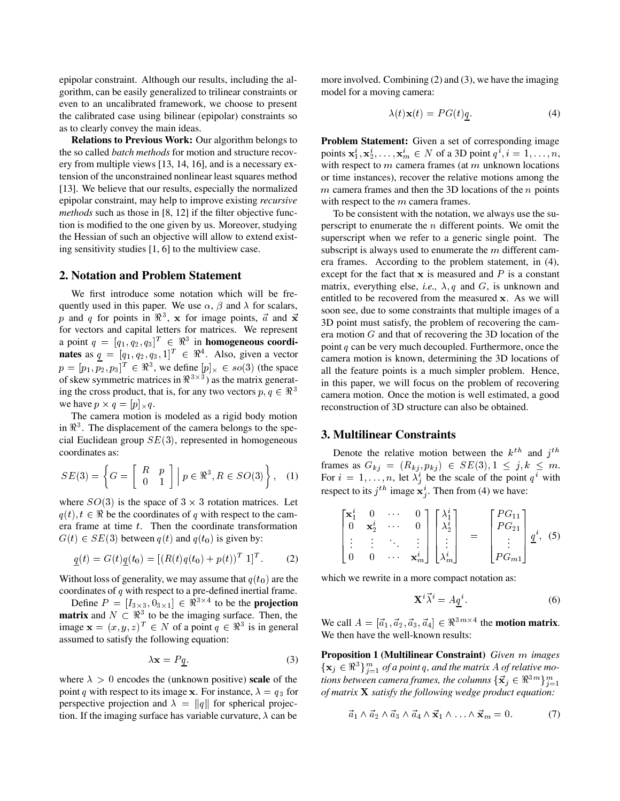epipolar constraint. Although our results, including the algorithm, can be easily generalized to trilinear constraints or even to an uncalibrated framework, we choose to present the calibrated case using bilinear (epipolar) constraints so as to clearly convey the main ideas.

**Relations to Previous Work:** Our algorithm belongs to the so called *batch methods* for motion and structure recovery from multiple views [13, 14, 16], and is a necessary extension of the unconstrained nonlinear least squares method [13]. We believe that our results, especially the normalized epipolar constraint, may help to improve existing *recursive methods* such as those in [8, 12] if the filter objective function is modified to the one given by us. Moreover, studying the Hessian of such an objective will allow to extend existing sensitivity studies [1, 6] to the multiview case.

### **2. Notation and Problem Statement**

We first introduce some notation which will be frequently used in this paper. We use  $\alpha$ ,  $\beta$  and  $\lambda$  for scalars, p and q for points in  $\mathbb{R}^3$ , x for image points,  $\vec{a}$  and  $\vec{x}$  and  $\vec{x}$ for vectors and capital letters for matrices. We represent a point  $q = [q_1, q_2, q_3]^T \in \mathbb{R}^3$  in **homogeneous coordinates** as  $q = [q_1, q_2, q_3, 1]^T \in \mathbb{R}^4$ . Also, given a vector  $p = [p_1, p_2, p_3]^T \in \mathbb{R}^3$ , we define  $[p]_{\times} \in so(3)$  (the space of skew symmetric matrices in  $\mathbb{R}^{3\times 3}$  as the matrix generating the cross product, that is, for any two vectors  $p, q \in \mathbb{R}^3$ we have  $p \times q = [p]_{\times} q$ .

The camera motion is modeled as a rigid body motion in  $\mathbb{R}^3$ . The displacement of the camera belongs to the special Euclidean group  $SE(3)$ , represented in homogeneous coordinates as:

$$
SE(3) = \left\{ G = \left[ \begin{array}{cc} R & p \\ 0 & 1 \end{array} \right] \middle| p \in \mathbb{R}^3, R \in SO(3) \right\}, \quad (1) \quad \begin{array}{c} \text{II} \\ \text{F} \\ \text{F} \\ \text{F} \end{array}
$$

where  $SO(3)$  is the space of  $3 \times 3$  rotation matrices. Let  $q(t), t \in \Re$  be the coordinates of q with respect to the camera frame at time  $t$ . Then the coordinate transformation  $G(t) \in SE(3)$  between  $q(t)$  and  $q(t_0)$  is given by:

$$
\underline{q}(t) = G(t)\underline{q}(t_0) = [(R(t)q(t_0) + p(t))^T 1]^T.
$$
 (2)

Without loss of generality, we may assume that  $q(t_0)$  are the coordinates of  $q$  with respect to a pre-defined inertial frame.

Define  $P = [I_{3\times 3}, 0_{3\times 1}] \in \Re^{3\times 4}$  to be the **projection matrix** and  $N \subset \mathbb{R}^3$  to be the imaging surface. Then, the image  $\mathbf{x} = (x, y, z)^T \in N$  of a point  $q \in \mathbb{R}^3$  is in general assumed to satisfy the following equation:

$$
\lambda \mathbf{x} = Pq. \tag{3}
$$

where  $\lambda > 0$  encodes the (unknown positive) **scale** of the point q with respect to its image x. For instance,  $\lambda = q_3$  for of perspective projection and  $\lambda = ||q||$  for spherical projection. If the imaging surface has variable curvature,  $\lambda$  can be

more involved. Combining (2) and (3), we have the imaging model for a moving camera:

$$
\lambda(t)\mathbf{x}(t) = PG(t)q. \tag{4}
$$

**Problem Statement:** Given a set of corresponding image points  $\mathbf{x}_1^i, \mathbf{x}_2^i, \dots, \mathbf{x}_m^i \in N$  of a 3D point  $q^i, i = 1, \dots, n$ , with respect to  $m$  camera frames (at  $m$  unknown locations or time instances), recover the relative motions among the  $m$  camera frames and then the 3D locations of the  $n$  points with respect to the  $m$  camera frames.

To be consistent with the notation, we always use the superscript to enumerate the  $n$  different points. We omit the superscript when we refer to a generic single point. The subscript is always used to enumerate the  $m$  different camera frames. According to the problem statement, in (4), except for the fact that  $x$  is measured and  $P$  is a constant matrix, everything else, *i.e.*,  $\lambda$ , q and G, is unknown and entitled to be recovered from the measured x. As we will soon see, due to some constraints that multiple images of a 3D point must satisfy, the problem of recovering the camera motion  $G$  and that of recovering the 3D location of the point  $q$  can be very much decoupled. Furthermore, once the camera motion is known, determining the 3D locations of all the feature points is a much simpler problem. Hence, in this paper, we will focus on the problem of recovering camera motion. Once the motion is well estimated, a good reconstruction of 3D structure can also be obtained.

# **3. Multilinear Constraints**

Denote the relative motion between the  $k^{th}$  and  $j^{th}$ frames as  $G_{k j} = (R_{k j}, p_{k j}) \in SE(3), 1 \le j, k \le m$ . For  $i = 1, \ldots, n$ , let  $\lambda_j^i$  be the scale of the point  $q^i$  with respect to its  $j^{th}$  image  $x_j^i$ . Then from (4) we have:

 $\mathbf{r}$  . The contract of the contract of the contract of the contract of the contract of the contract of the contract of the contract of the contract of the contract of the contract of the contract of the contract of th

$$
\begin{bmatrix}\n\mathbf{x}_1^i & 0 & \cdots & 0 \\
0 & \mathbf{x}_2^i & \cdots & 0 \\
\vdots & \vdots & \ddots & \vdots \\
0 & 0 & \cdots & \mathbf{x}_m^i\n\end{bmatrix}\n\begin{bmatrix}\n\lambda_1^i \\
\lambda_2^i \\
\vdots \\
\lambda_m^i\n\end{bmatrix}\n=\n\begin{bmatrix}\nPG_{11} \\
PG_{21} \\
\vdots \\
PG_{m1}\n\end{bmatrix}\n\underline{q}^i,\n(5)
$$

which we rewrite in a more compact notation as:

$$
\mathbf{X}^i \vec{\lambda}^i = A q^i. \tag{6}
$$

We call  $A = [\vec{a}_1, \vec{a}_2, \vec{a}_3, \vec{a}_4] \in \Re^{3m \times 4}$  the **motion matrix**. We then have the well-known results:

**Proposition 1 (Multilinear Constraint)** *Given images*  $\{ \mathbf x_j \in \mathbb{R}^3 \}_{i=1}^m$  of a point q, and the matrix A of relative motions between camera frames, the columns  $\{\vec{\mathbf{x}}_j \in \Re^{3m}\}_{j=1}^m$ *of matrix satisfy the following wedge product equation:*

$$
\vec{a}_1 \wedge \vec{a}_2 \wedge \vec{a}_3 \wedge \vec{a}_4 \wedge \vec{x}_1 \wedge \ldots \wedge \vec{x}_m = 0. \tag{7}
$$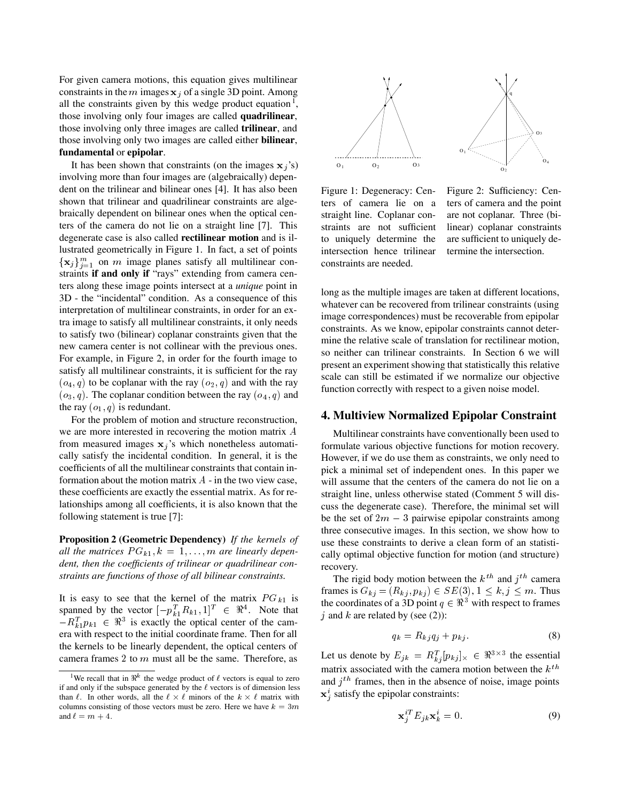For given camera motions, this equation gives multilinear constraints in the  $m$  images  $x_i$  of a single 3D point. Among all the constraints given by this wedge product equation<sup>1</sup>, those involving only four images are called **quadrilinear**, those involving only three images are called **trilinear**, and those involving only two images are called either **bilinear**, **fundamental** or **epipolar**.

It has been shown that constraints (on the images  $\mathbf{x}_i$ 's) involving more than four images are (algebraically) dependent on the trilinear and bilinear ones [4]. It has also been shown that trilinear and quadrilinear constraints are algebraically dependent on bilinear ones when the optical centers of the camera do not lie on a straight line [7]. This degenerate case is also called **rectilinear motion** and is illustrated geometrically in Figure 1. In fact, a set of points  $\{{\bf x}_i\}_{i=1}^m$  on m image planes satisfy all multilinear constraints **if and only if** "rays" extending from camera centers along these image points intersect at a *unique* point in 3D - the "incidental" condition. As a consequence of this interpretation of multilinear constraints, in order for an extra image to satisfy all multilinear constraints, it only needs to satisfy two (bilinear) coplanar constraints given that the new camera center is not collinear with the previous ones. For example, in Figure 2, in order for the fourth image to satisfy all multilinear constraints, it is sufficient for the ray  $(o_4, q)$  to be coplanar with the ray  $(o_2, q)$  and with the ray  $(o_3, q)$ . The coplanar condition between the ray  $(o_4, q)$  and the ray  $(o_1, q)$  is redundant.

For the problem of motion and structure reconstruction, we are more interested in recovering the motion matrix A from measured images  $x_j$ 's which nonetheless automatically satisfy the incidental condition. In general, it is the coefficients of all the multilinear constraints that contain information about the motion matrix  $A$  - in the two view case, these coefficients are exactly the essential matrix. As for relationships among all coefficients, it is also known that the following statement is true [7]:

**Proposition 2 (Geometric Dependency)** *If the kernels of* all the matrices  $PG_{k_1}, k = 1, \ldots, m$  are linearly depen*dent, then the coefficients of trilinear or quadrilinear constraints are functions of those of all bilinear constraints.*

It is easy to see that the kernel of the matrix  $PG_{k1}$  is spanned by the vector  $[-p_{k1}^T R_{k1}, 1]^T \in \Re^4$ . Note that  $-R_{k_1}^T p_{k_1} \in \Re^3$  is exactly the optical center of the camera with respect to the initial coordinate frame. Then for all the kernels to be linearly dependent, the optical centers of camera frames  $2$  to  $m$  must all be the same. Therefore, as



Figure 1: Degeneracy: Centers of camera lie on a straight line. Coplanar constraints are not sufficient to uniquely determine the intersection hence trilinear constraints are needed.

Figure 2: Sufficiency: Centers of camera and the point are not coplanar. Three (bilinear) coplanar constraints are sufficient to uniquely determine the intersection.

long as the multiple images are taken at different locations, whatever can be recovered from trilinear constraints (using image correspondences) must be recoverable from epipolar constraints. As we know, epipolar constraints cannot determine the relative scale of translation for rectilinear motion, so neither can trilinear constraints. In Section 6 we will present an experiment showing that statistically this relative scale can still be estimated if we normalize our objective function correctly with respect to a given noise model.

# **4. Multiview Normalized Epipolar Constraint**

Multilinear constraints have conventionally been used to formulate various objective functions for motion recovery. However, if we do use them as constraints, we only need to pick a minimal set of independent ones. In this paper we will assume that the centers of the camera do not lie on a straight line, unless otherwise stated (Comment 5 will discuss the degenerate case). Therefore, the minimal set will be the set of  $2m - 3$  pairwise epipolar constraints among three consecutive images. In this section, we show how to use these constraints to derive a clean form of an statistically optimal objective function for motion (and structure) recovery.

The rigid body motion between the  $k^{th}$  and  $j^{th}$  camera frames is  $G_{kj} = (R_{kj}, p_{kj}) \in SE(3), 1 \leq k, j \leq m$ . Thus the coordinates of a 3D point  $q \in \mathbb{R}^3$  with respect to frames i and  $k$  are related by (see (2)):

$$
q_k = R_{kj} q_j + p_{kj}.\tag{8}
$$

Let us denote by  $E_{jk} = R_{kj}^T[p_{kj}]_{\times} \in \Re^{3 \times 3}$  the essential matrix associated with the camera motion between the  $k^{th}$ and  $j<sup>th</sup>$  frames, then in the absence of noise, image points  $x_i^i$  satisfy the epipolar constraints:  $\mathbf{r}$  . The contract of the contract of the contract of the contract of the contract of the contract of the contract of the contract of the contract of the contract of the contract of the contract of the contract of th

$$
\mathbf{x}_j^{i}{}^T E_{jk} \mathbf{x}_k^i = 0. \tag{9}
$$

<sup>&</sup>lt;sup>1</sup>We recall that in  $\mathbb{R}^k$  the wedge product of  $\ell$  vectors is equal to zero if and only if the subspace generated by the  $\ell$  vectors is of dimension less than  $\ell$ . In other words, all the  $\ell \times \ell$  minors of the  $k \times \ell$  matrix with columns consisting of those vectors must be zero. Here we have  $k = 3m$ and  $\ell = m + 4$ .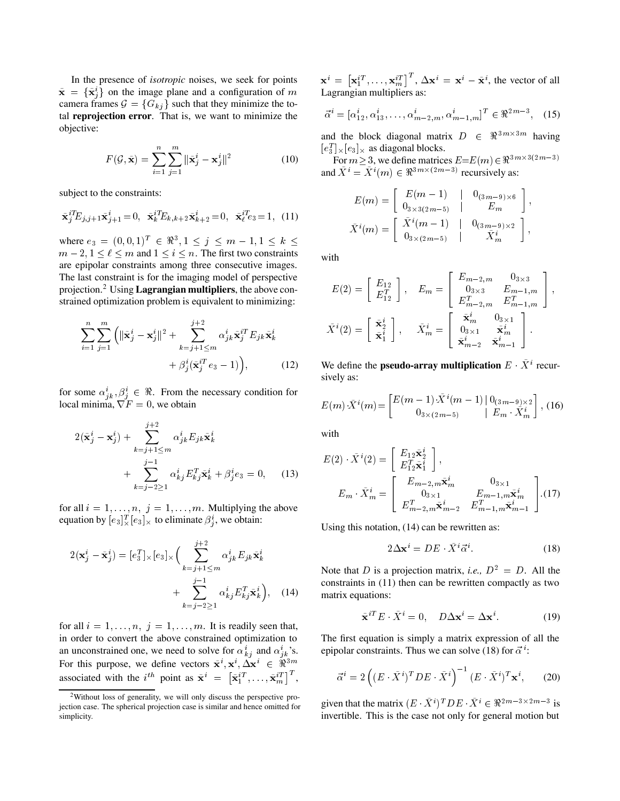In the presence of *isotropic* noises, we seek for points  $\tilde{\mathbf{x}} = {\tilde{\mathbf{x}}_i^i}$  on the image plane and a configuration of m Lagrangia camera frames  $\mathcal{G} = \{G_{kj}\}\$  such that they minimize the total **reprojection error**. That is, we want to minimize the objective:

$$
F(\mathcal{G}, \tilde{\mathbf{x}}) = \sum_{i=1}^{n} \sum_{j=1}^{m} ||\tilde{\mathbf{x}}_{j}^{i} - \mathbf{x}_{j}^{i}||^{2}
$$
(10)

subject to the constraints:

$$
\tilde{\mathbf{x}}_{j}^{i}{}^{T}\!E_{j,j+1}\tilde{\mathbf{x}}_{j+1}^{i} = 0, \quad \tilde{\mathbf{x}}_{k}^{i}{}^{T}\!E_{k,k+2}\tilde{\mathbf{x}}_{k+2}^{i} = 0, \quad \tilde{\mathbf{x}}_{\ell}^{i}{}^{T}\!e_{3} = 1, \quad (11)
$$

where  $e_3 = (0,0,1)^T \in \Re^3, 1 \le j \le m-1, 1 \le k \le$  $m-2, 1 \leq \ell \leq m$  and  $1 \leq i \leq n$ . The first two constraints are epipolar constraints among three consecutive images. The last constraint is for the imaging model of perspective projection.<sup>2</sup> Using **Lagrangian multipliers**, the above constrained optimization problem is equivalent to minimizing:

$$
\sum_{i=1}^{n} \sum_{j=1}^{m} \left( \| \tilde{\mathbf{x}}_{j}^{i} - \mathbf{x}_{j}^{i} \|^{2} + \sum_{k=j+1 \leq m}^{j+2} \alpha_{jk}^{i} \tilde{\mathbf{x}}_{j}^{i} E_{jk} \tilde{\mathbf{x}}_{k}^{i} + \beta_{j}^{i} (\tilde{\mathbf{x}}_{j}^{i} E_{3} - 1) \right), \qquad (12)
$$

for some  $\alpha_{ik}^i, \beta_i^i \in \Re$ . From the necessary condition for local minima,  $\nabla F = 0$ , we obtain

$$
2(\tilde{\mathbf{x}}_j^i - \mathbf{x}_j^i) + \sum_{k=j+1 \le m}^{j+2} \alpha_{jk}^i E_{jk} \tilde{\mathbf{x}}_k^i
$$
  
+ 
$$
\sum_{k=j-2 \ge 1}^{j-1} \alpha_{kj}^i E_{kj}^T \tilde{\mathbf{x}}_k^i + \beta_j^i e_3 = 0,
$$
 (13)

for all  $i = 1, \ldots, n, j = 1, \ldots, m$ . Multiplying the above equation by  $[e_3]_{\times}^T[e_3]_{\times}$  to eliminate  $\beta_j^i$ , we obtain:

$$
2(\mathbf{x}_j^i - \tilde{\mathbf{x}}_j^i) = [e_3^T] \times [e_3] \times \Big( \sum_{k=j+1 \le m}^{j+2} \alpha_{jk}^i E_{jk} \tilde{\mathbf{x}}_k^i
$$
  
+ 
$$
\sum_{k=j-2 \ge 1}^{j-1} \alpha_{kj}^i E_{kj}^T \tilde{\mathbf{x}}_k^i \Big), \quad (14)
$$

for all  $i = 1, \ldots, n, j = 1, \ldots, m$ . It is readily seen that, in order to convert the above constrained optimization to an unconstrained one, we need to solve for  $\alpha_{ki}^i$  and  $\alpha_{ik}^i$ 's. For this purpose, we define vectors  $\tilde{\mathbf{x}}^i, \mathbf{x}^i, \Delta \mathbf{x}^i \in \mathbb{R}^{3m}$ associated with the  $i^{th}$  point as  $\tilde{\mathbf{x}}^i = [\tilde{\mathbf{x}}_1^{iT}, \dots, \tilde{\mathbf{x}}_m^{iT}]^T$ ,

 $\mathbf{x}^i\,=\,\left[\mathbf{x}^{iT}_1,\ldots,\mathbf{x}^{iT}_m\right]^{\text{{\tiny \bf I}}}\,,\,\Delta\mathbf{x}^i\,=\,1$  $\int_0^1$ ,  $\Delta x^i = x^i - \tilde{x}^i$ , the vector of all Lagrangian multipliers as:

$$
\vec{\alpha}^i = [\alpha_{12}^i, \alpha_{13}^i, \dots, \alpha_{m-2,m}^i, \alpha_{m-1,m}^i]^T \in \mathbb{R}^{2m-3}, \quad (15)
$$

and the block diagonal matrix  $D \in \mathbb{R}^{3m \times 3m}$  having  $[e_3^T]_{\times} [e_3]_{\times}$  as diagonal blocks.

For  $m \ge 3$ , we define matrices  $E=E(m) \in \mathbb{R}^{3m \times 3(2m-3)}$ and  $X^i = X^i(m) \in \mathbb{R}^{3m \times (2m-3)}$  recursively as:

$$
E(m) = \begin{bmatrix} E(m-1) & | & 0_{(3m-9)\times 6} \\ 0_{3\times 3(2m-5)} & | & E_m \end{bmatrix},
$$

$$
\tilde{X}^{i}(m) = \begin{bmatrix} \tilde{X}^{i}(m-1) & | & 0_{(3m-9)\times 2} \\ 0_{3\times (2m-5)} & | & \tilde{X}^{i}_{m} \end{bmatrix},
$$

with

$$
E(2) = \begin{bmatrix} E_{12} \\ E_{12}^T \end{bmatrix}, \quad E_m = \begin{bmatrix} E_{m-2,m} & 0_{3 \times 3} \\ 0_{3 \times 3} & E_{m-1,m} \\ E_{m-2,m}^T & E_{m-1,m}^T \end{bmatrix},
$$

$$
\tilde{X}^i(2) = \begin{bmatrix} \tilde{\mathbf{x}}_2^i \\ \tilde{\mathbf{x}}_1^i \end{bmatrix}, \quad \tilde{X}_m^i = \begin{bmatrix} \tilde{\mathbf{x}}_m^i & 0_{3 \times 1} \\ 0_{3 \times 1} & \tilde{\mathbf{x}}_m^i \\ \tilde{\mathbf{x}}_{m-2}^i & \tilde{\mathbf{x}}_{m-1}^i \end{bmatrix}.
$$

We define the **pseudo-array multiplication**  $E \times X^i$  recursively as:

$$
E(m)\cdot \tilde{X}^{i}(m) = \begin{bmatrix} E(m-1)\cdot \tilde{X}^{i}(m-1) | 0_{(3m-9)\times 2} \\ 0_{3\times (2m-5)} | E_m \cdot X_m^{i} \end{bmatrix}, (16)
$$

with

$$
E(2) \cdot \tilde{X}^{i}(2) = \begin{bmatrix} E_{12} \tilde{\mathbf{x}}_{2}^{i} \\ E_{12}^{T} \tilde{\mathbf{x}}_{1}^{i} \end{bmatrix},
$$
  
\n
$$
E_{m} \cdot \tilde{X}_{m}^{i} = \begin{bmatrix} E_{m-2,m} \tilde{\mathbf{x}}_{m}^{i} & 0_{3 \times 1} \\ 0_{3 \times 1} & E_{m-1,m} \tilde{\mathbf{x}}_{m}^{i} \\ E_{m-2,m}^{T} \tilde{\mathbf{x}}_{m-2}^{i} & E_{m-1,m}^{T} \tilde{\mathbf{x}}_{m-1}^{i} \end{bmatrix} . (17)
$$

Using this notation, (14) can be rewritten as:

$$
2\Delta \mathbf{x}^i = DE \cdot X^i \vec{\alpha}^i. \tag{18}
$$

Note that D is a projection matrix, *i.e.*,  $D^2 = D$ . All the constraints in (11) then can be rewritten compactly as two matrix equations:

$$
\tilde{\mathbf{x}}^{i}^{T} E \cdot \tilde{X}^{i} = 0, \quad D \Delta \mathbf{x}^{i} = \Delta \mathbf{x}^{i}.
$$
 (19)

The first equation is simply a matrix expression of all the epipolar constraints. Thus we can solve (18) for  $\vec{\alpha}^i$ :

$$
\vec{\alpha}^i = 2\left( (E \cdot \tilde{X}^i)^T DE \cdot \tilde{X}^i \right)^{-1} (E \cdot \tilde{X}^i)^T \mathbf{x}^i, \qquad (20)
$$

given that the matrix  $(E \cdot X^i)^T DE \cdot X^i \in \Re^{2m-3 \times 2m-3}$  is invertible. This is the case not only for general motion but

<sup>2</sup>Without loss of generality, we will only discuss the perspective projection case. The spherical projection case is similar and hence omitted for simplicity.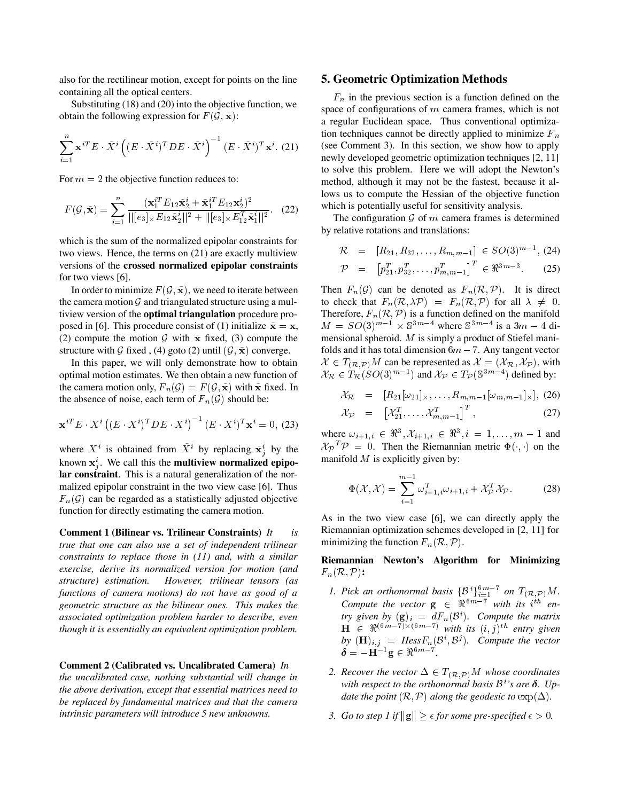also for the rectilinear motion, except for points on the line containing all the optical centers.

Substituting (18) and (20) into the objective function, we obtain the following expression for  $F(\mathcal{G}, \tilde{\mathbf{x}})$ :

$$
\sum_{i=1}^{n} \mathbf{x}^{i} E \cdot \tilde{X}^{i} \left( (E \cdot \tilde{X}^{i})^{T} D E \cdot \tilde{X}^{i} \right)^{-1} (E \cdot \tilde{X}^{i})^{T} \mathbf{x}^{i}.
$$
 (21)

For  $m = 2$  the objective function reduces to:

$$
F(\mathcal{G}, \tilde{\mathbf{x}}) = \sum_{i=1}^{n} \frac{(\mathbf{x}_1^{i}{}^T E_{12} \tilde{\mathbf{x}}_2^i + \tilde{\mathbf{x}}_1^{i}{}^T E_{12} \mathbf{x}_2^i)^2}{||[e_3] \times E_{12} \tilde{\mathbf{x}}_2^i||^2 + ||[e_3] \times E_{12}^T \tilde{\mathbf{x}}_1^i||^2}.
$$
 (22)

which is the sum of the normalized epipolar constraints for two views. Hence, the terms on (21) are exactly multiview versions of the **crossed normalized epipolar constraints** for two views [6].

In order to minimize  $F(\mathcal{G}, \tilde{\mathbf{x}})$ , we need to iterate between the camera motion  $\mathcal G$  and triangulated structure using a multiview version of the **optimal triangulation** procedure proposed in [6]. This procedure consist of (1) initialize  $\tilde{\mathbf{x}} = \mathbf{x}$ , (2) compute the motion  $\mathcal G$  with  $\tilde{\mathbf x}$  fixed, (3) compute the structure with G fixed , (4) goto (2) until  $(\mathcal{G}, \tilde{\mathbf{x}})$  converge.

In this paper, we will only demonstrate how to obtain optimal motion estimates. We then obtain a new function of the camera motion only,  $F_n(\mathcal{G}) = F(\mathcal{G}, \tilde{\mathbf{x}})$  with  $\tilde{\mathbf{x}}$  fixed. In the absence of noise, each term of  $F_n(\mathcal{G})$  should be:

$$
\mathbf{x}^{iT}E \cdot X^i \left( (E \cdot X^i)^T DE \cdot X^i \right)^{-1} (E \cdot X^i)^T \mathbf{x}^i = 0, \text{ (23)}
$$

where  $X^i$  is obtained from  $X^i$  by replacing  $\tilde{\mathbf{x}}_j^i$  by the known  $x_i^i$ . We call this the **multiview normalized epipo-** $\mathbf{r}$  . The contract of the contract of the contract of the contract of the contract of the contract of the contract of the contract of the contract of the contract of the contract of the contract of the contract of th **lar constraint**. This is a natural generalization of the normalized epipolar constraint in the two view case [6]. Thus  $F_n(\mathcal{G})$  can be regarded as a statistically adjusted objective function for directly estimating the camera motion.

**Comment 1 (Bilinear vs. Trilinear Constraints)** *It is true that one can also use a set of independent trilinear constraints to replace those in (11) and, with a similar exercise, derive its normalized version for motion (and structure) estimation. However, trilinear tensors (as functions of camera motions) do not have as good of a geometric structure as the bilinear ones. This makes the associated optimization problem harder to describe, even though it is essentially an equivalent optimization problem.*

**Comment 2 (Calibrated vs. Uncalibrated Camera)** *In the uncalibrated case, nothing substantial will change in the above derivation, except that essential matrices need to be replaced by fundamental matrices and that the camera intrinsic parameters will introduce 5 new unknowns.*

# **5. Geometric Optimization Methods**

 $F_n$  in the previous section is a function defined on the space of configurations of  $m$  camera frames, which is not a regular Euclidean space. Thus conventional optimization techniques cannot be directly applied to minimize  $F_n$ (see Comment 3). In this section, we show how to apply newly developed geometric optimization techniques [2, 11] to solve this problem. Here we will adopt the Newton's method, although it may not be the fastest, because it allows us to compute the Hessian of the objective function which is potentially useful for sensitivity analysis.

The configuration  $\mathcal G$  of  $m$  camera frames is determined by relative rotations and translations:

$$
\mathcal{R} = [R_{21}, R_{32}, \dots, R_{m,m-1}] \in SO(3)^{m-1}, (24)
$$
\n
$$
\mathcal{R} = [T \quad T \quad T \quad T^{1} \in \mathbb{R}^{3m-3} \quad (25)
$$

$$
\mathcal{P} = \left[ p_{21}^T, p_{32}^T, \dots, p_{m,m-1}^T \right]^T \in \mathbb{R}^{3m-3}.
$$
 (25)

 $= x,$   $M = SO(3)^{m-1} \times \mathbb{S}^{3m-4}$  where  $\mathbb{S}^{3m-4}$  is a  $3m-4$  di-Then  $F_n(\mathcal{G})$  can be denoted as  $F_n(\mathcal{R}, \mathcal{P})$ . It is direct to check that  $F_n(\mathcal{R}, \lambda \mathcal{P}) = F_n(\mathcal{R}, \mathcal{P})$  for all  $\lambda \neq 0$ . Therefore,  $F_n(\mathcal{R}, \mathcal{P})$  is a function defined on the manifold mensional spheroid.  $M$  is simply a product of Stiefel manifolds and it has total dimension  $6m - 7$ . Any tangent vector  $\mathcal{X} \in T_{(\mathcal{R}, \mathcal{P})}M$  can be represented as  $\mathcal{X} = (\mathcal{X}_{\mathcal{R}}, \mathcal{X}_{\mathcal{P}})$ , with  $\mathcal{X}_{\mathcal{R}} \in T_{\mathcal{R}}(SO(3)^{m-1})$  and  $\mathcal{X}_{\mathcal{P}} \in T_{\mathcal{P}}(\mathbb{S}^{3m-4})$  defined by:

$$
\mathcal{X}_{\mathcal{R}} = [R_{21}[\omega_{21}]_{\times}, \dots, R_{m,m-1}[\omega_{m,m-1}]_{\times}], (26)
$$

$$
\mathcal{X}_{\mathcal{P}} = \left[ \mathcal{X}_{21}^T, \dots, \mathcal{X}_{m,m-1}^T \right]^T, \tag{27}
$$

where  $\omega_{i+1,i} \in \Re^3$ ,  $\mathcal{X}_{i+1,i} \in \Re^3$ ,  $i = 1, ..., m - 1$  and  $\mathcal{X}_{\mathcal{P}}^T \mathcal{P} = 0$ . Then the Riemannian metric  $\Phi(\cdot, \cdot)$  on the manifold  $M$  is explicitly given by:

$$
\Phi(\mathcal{X}, \mathcal{X}) = \sum_{i=1}^{m-1} \omega_{i+1,i}^T \omega_{i+1,i} + \mathcal{X}_{\mathcal{P}}^T \mathcal{X}_{\mathcal{P}}.
$$
 (28)

As in the two view case [6], we can directly apply the Riemannian optimization schemes developed in [2, 11] for minimizing the function  $F_n(\mathcal{R}, \mathcal{P})$ .

**Riemannian Newton's Algorithm for Minimizing**  $F_n(\mathcal{R}, \mathcal{P})$ :

- *1. Pick an orthonormal basis*  $\{B^i\}_{i=1}^{6m-7}$  *on*  $T_{(\mathcal{R},\mathcal{P})}M$ . Compute the vector  $g \in \Re^{6m-7}$  with its i<sup>th</sup> en*try given by*  $(g)_i = dF_n(\mathcal{B}^i)$ . Compute the matrix  $\mathbf{H} \in \mathbb{R}^{(6m-7)\times(6m-7)}$  with its  $(i, j)^{th}$  entry given by  $(\mathbf{H})_{i,j} = Hess F_n(\mathcal{B}^i, \mathcal{B}^j)$ . Compute the vector  $\boldsymbol{\delta} = -\mathbf{H}^{-1} \mathbf{g} \in \Re^{6m-7}.$
- 2. Recover the vector  $\Delta \in T_{(\mathcal{R}, \mathcal{P})}M$  whose coordinates with respect to the orthonormal basis  $B^i$ 's are  $\delta$ . Up*date the point*  $(R, P)$  *along the geodesic to*  $\exp(\Delta)$ *.*
- *3. Go to step 1 if*  $\|\mathbf{g}\| \geq \epsilon$  for some pre-specified  $\epsilon > 0$ .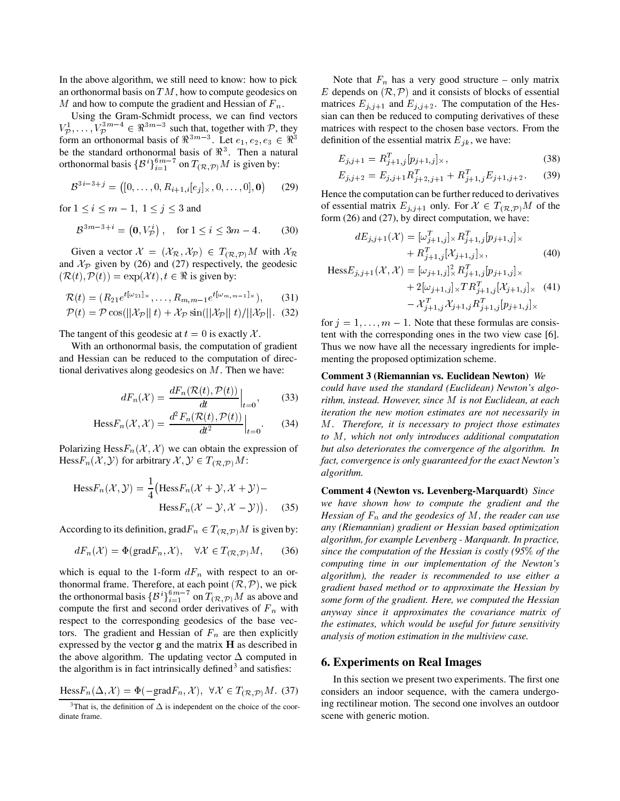In the above algorithm, we still need to know: how to pick an orthonormal basis on  $TM$ , how to compute geodesics on M and how to compute the gradient and Hessian of  $F_n$ .

Using the Gram-Schmidt process, we can find vectors  $V_P^1, \ldots, V_P^{3m-4} \in \Re^{3m-3}$  such that, together with  $P$ , they form an orthonormal basis of  $\mathbb{R}^{3m-3}$ . Let  $e_1, e_2, e_3 \in \mathbb{R}^3$ be the standard orthonormal basis of  $\mathbb{R}^3$ . Then a natural orthonormal basis  $\{\mathcal{B}^i\}_{i=1}^{6m-7}$  on  $T_{(\mathcal{R},\mathcal{P})}M$  is given by:

$$
\mathcal{B}^{3i-3+j} = ([0, \ldots, 0, R_{i+1,i}[e_j]_x, 0, \ldots, 0], \mathbf{0})
$$
 (29)

for  $1 \le i \le m-1, 1 \le j \le 3$  and

$$
\mathcal{B}^{3m-3+i} = (0, V_{\mathcal{P}}^i), \quad \text{for } 1 \le i \le 3m-4. \tag{30}
$$

Given a vector  $\mathcal{X} = (\mathcal{X}_{\mathcal{R}}, \mathcal{X}_{\mathcal{P}}) \in T_{(\mathcal{R}, \mathcal{P})}M$  with  $\mathcal{X}_{\mathcal{R}}$ and  $\mathcal{X}_{\mathcal{P}}$  given by (26) and (27) respectively, the geodesic  $(\mathcal{R}(t), \mathcal{P}(t)) = \exp(\mathcal{X}t), t \in \Re$  is given by:

$$
\mathcal{R}(t) = (R_{21}e^{t[\omega_{21}]_{\times}}, \ldots, R_{m,m-1}e^{t[\omega_{m,m-1}]_{\times}}),
$$
 (31)

$$
\mathcal{P}(t) = \mathcal{P}\cos(||\mathcal{X}_{\mathcal{P}}||t) + \mathcal{X}_{\mathcal{P}}\sin(||\mathcal{X}_{\mathcal{P}}||t)/||\mathcal{X}_{\mathcal{P}}||. (32)
$$

The tangent of this geodesic at  $t = 0$  is exactly X.

With an orthonormal basis, the computation of gradient and Hessian can be reduced to the computation of directional derivatives along geodesics on  $M$ . Then we have:

$$
dF_n(\mathcal{X}) = \frac{dF_n(\mathcal{R}(t), \mathcal{P}(t))}{dt}\Big|_{t=0},\qquad(33)
$$

$$
\text{Hess} F_n(\mathcal{X}, \mathcal{X}) = \frac{d^2 F_n(\mathcal{R}(t), \mathcal{P}(t))}{dt^2}\Big|_{t=0}.
$$
 (34)

Polarizing Hess  $F_n(\mathcal{X}, \mathcal{X})$  we can obtain the expression of Hess  $F_n(\mathcal{X}, \mathcal{Y})$  for arbitrary  $\mathcal{X}, \mathcal{Y} \in T_{(\mathcal{R}, \mathcal{P})}M$ :

$$
\text{Hess} F_n(\mathcal{X}, \mathcal{Y}) = \frac{1}{4} \left( \text{Hess} F_n(\mathcal{X} + \mathcal{Y}, \mathcal{X} + \mathcal{Y}) - \right)
$$
  

$$
\text{Hess} F_n(\mathcal{X} - \mathcal{Y}, \mathcal{X} - \mathcal{Y}) \right). \quad (35)
$$

According to its definition, grad $F_n \in T_{(\mathcal{R}, \mathcal{P})} M$  is given by:

$$
dF_n(\mathcal{X}) = \Phi(\text{grad}F_n, \mathcal{X}), \quad \forall \mathcal{X} \in T_{(\mathcal{R}, \mathcal{P})}M, \qquad (36)
$$

which is equal to the 1-form  $dF_n$  with respect to an orthonormal frame. Therefore, at each point  $(R, P)$ , we pick the orthonormal basis  $\{\mathcal{B}^i\}_{i=1}^{6m-7}$  on  $T_{(\mathcal{R},\mathcal{P})}M$  as above and compute the first and second order derivatives of  $F_n$  with respect to the corresponding geodesics of the base vectors. The gradient and Hessian of  $F_n$  are then explicitly expressed by the vector  $g$  and the matrix  $H$  as described in the above algorithm. The updating vector  $\Delta$  computed in the algorithm is in fact intrinsically defined<sup>3</sup> and satisfies:

Hess  $F_n(\Delta, \mathcal{X}) = \Phi(-\text{grad} F_n, \mathcal{X}), \ \forall \mathcal{X} \in T_{(\mathcal{R}, \mathcal{P})} M$ . (37) com-

 $\mathbb{R}^3$  definition of the essential matrix  $E_{ik}$ , we have: Note that  $F_n$  has a very good structure – only matrix E depends on  $(R, P)$  and it consists of blocks of essential matrices  $E_{i,i+1}$  and  $E_{i,i+2}$ . The computation of the Hessian can then be reduced to computing derivatives of these matrices with respect to the chosen base vectors. From the

$$
E_{j,j+1} = R_{j+1,j}^T [p_{j+1,j}]_{\times},
$$
\n(38)

$$
E_{j,j+2} = E_{j,j+1} R_{j+2,j+1}^T + R_{j+1,j}^T E_{j+1,j+2}.
$$
 (39)

Hence the computation can be further reduced to derivatives of essential matrix  $E_{i,i+1}$  only. For  $\mathcal{X} \in T_{(\mathcal{R},\mathcal{P})}M$  of the form (26) and (27), by direct computation, we have:

$$
dE_{j,j+1}(\mathcal{X}) = [\omega_{j+1,j}^T] \times R_{j+1,j}^T [p_{j+1,j}] \times
$$
  
+  $R_{j+1,j}^T [\mathcal{X}_{j+1,j}] \times$ , (40)

Hess
$$
E_{j,j+1}(\mathcal{X}, \mathcal{X}) = [\omega_{j+1,j}]_{\times}^2 R_{j+1,j}^T [p_{j+1,j}]_{\times}
$$
  
+2 $[\omega_{j+1,j}]_{\times} T R_{j+1,j}^T [\mathcal{X}_{j+1,j}]_{\times}$  (41)  
- $\mathcal{X}_{j+1,j}^T \mathcal{X}_{j+1,j} R_{j+1,j}^T [p_{j+1,j}]_{\times}$ 

for  $j = 1, \ldots, m - 1$ . Note that these formulas are consistent with the corresponding ones in the two view case [6]. Thus we now have all the necessary ingredients for implementing the proposed optimization scheme.

#### **Comment 3 (Riemannian vs. Euclidean Newton)** *We*

*could have used the standard (Euclidean) Newton's algorithm, instead. However, since M is not Euclidean, at each iteration the new motion estimates are not necessarily in* #*. Therefore, it is necessary to project those estimates to* #*, which not only introduces additional computation but also deteriorates the convergence of the algorithm. In fact, convergence is only guaranteed for the exact Newton's algorithm.*

**Comment 4 (Newton vs. Levenberg-Marquardt)** *Since we have shown how to compute the gradient and the Hessian of*  $F_n$  *and the geodesics of*  $M$ *, the reader can use any (Riemannian) gradient or Hessian based optimization algorithm, for example Levenberg - Marquardt. In practice, since the computation of the Hessian is costly (95 of the computing time in our implementation of the Newton's algorithm), the reader is recommended to use either a gradient based method or to approximate the Hessian by some form of the gradient. Here, we computed the Hessian anyway since it approximates the covariance matrix of the estimates, which would be useful for future sensitivity analysis of motion estimation in the multiview case.*

# **6. Experiments on Real Images**

In this section we present two experiments. The first one considers an indoor sequence, with the camera undergoing rectilinear motion. The second one involves an outdoor scene with generic motion.

<sup>&</sup>lt;sup>3</sup>That is, the definition of  $\Delta$  is independent on the choice of the coordinate frame.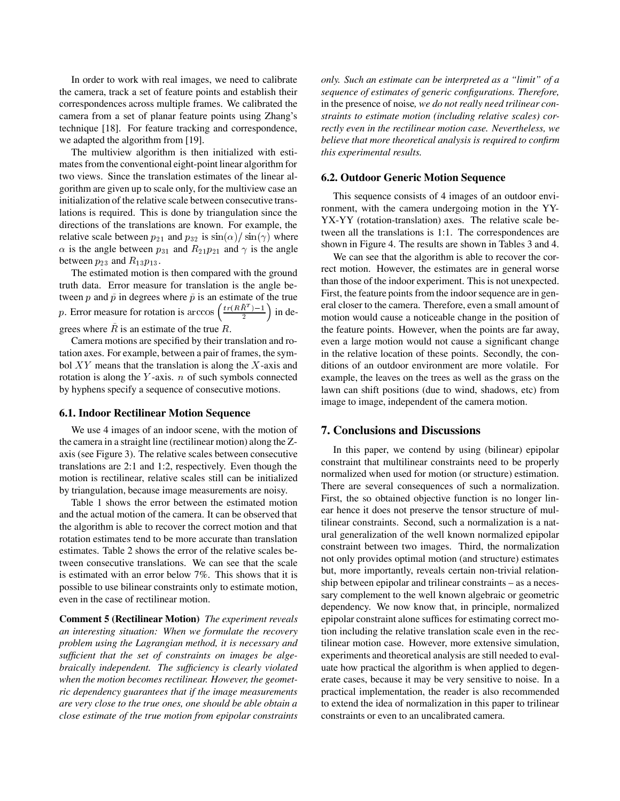In order to work with real images, we need to calibrate the camera, track a set of feature points and establish their correspondences across multiple frames. We calibrated the camera from a set of planar feature points using Zhang's technique [18]. For feature tracking and correspondence, we adapted the algorithm from [19].

The multiview algorithm is then initialized with estimates from the conventional eight-point linear algorithm for two views. Since the translation estimates of the linear algorithm are given up to scale only, for the multiview case an initialization of the relative scale between consecutive translations is required. This is done by triangulation since the directions of the translations are known. For example, the relative scale between  $p_{21}$  and  $p_{32}$  is  $\sin(\alpha)/\sin(\gamma)$  where  $\alpha$  is the angle between  $p_{31}$  and  $R_{21}p_{21}$  and  $\gamma$  is the angle between  $p_{23}$  and  $R_{13}p_{13}$ .

The estimated motion is then compared with the ground truth data. Error measure for translation is the angle between p and  $\tilde{p}$  in degrees where  $\tilde{p}$  is an estimate of the true p. Error measure for rotation is arccos  $\left(\frac{tr(R\overline{R}^T)-1}{2}\right)$  in degrees where  $R$  is an estimate of the true  $R$ .

Camera motions are specified by their translation and rotation axes. For example, between a pair of frames, the symbol  $XY$  means that the translation is along the  $X$ -axis and rotation is along the  $Y$ -axis.  $n$  of such symbols connected by hyphens specify a sequence of consecutive motions.

#### **6.1. Indoor Rectilinear Motion Sequence**

We use 4 images of an indoor scene, with the motion of the camera in a straight line (rectilinear motion) along the Zaxis (see Figure 3). The relative scales between consecutive translations are 2:1 and 1:2, respectively. Even though the motion is rectilinear, relative scales still can be initialized by triangulation, because image measurements are noisy.

Table 1 shows the error between the estimated motion and the actual motion of the camera. It can be observed that the algorithm is able to recover the correct motion and that rotation estimates tend to be more accurate than translation estimates. Table 2 shows the error of the relative scales between consecutive translations. We can see that the scale is estimated with an error below 7%. This shows that it is possible to use bilinear constraints only to estimate motion, even in the case of rectilinear motion.

**Comment 5 (Rectilinear Motion)** *The experiment reveals an interesting situation: When we formulate the recovery problem using the Lagrangian method, it is necessary and sufficient that the set of constraints on images be algebraically independent. The sufficiency is clearly violated when the motion becomes rectilinear. However, the geometric dependency guarantees that if the image measurements are very close to the true ones, one should be able obtain a close estimate of the true motion from epipolar constraints*

*only. Such an estimate can be interpreted as a "limit" of a sequence of estimates of generic configurations. Therefore,* in the presence of noise*, we do not really need trilinear constraints to estimate motion (including relative scales) correctly even in the rectilinear motion case. Nevertheless, we believe that more theoretical analysis is required to confirm this experimental results.*

### **6.2. Outdoor Generic Motion Sequence**

This sequence consists of 4 images of an outdoor environment, with the camera undergoing motion in the YY-YX-YY (rotation-translation) axes. The relative scale between all the translations is 1:1. The correspondences are shown in Figure 4. The results are shown in Tables 3 and 4.

We can see that the algorithm is able to recover the correct motion. However, the estimates are in general worse than those of the indoor experiment. This is not unexpected. First, the feature points from the indoor sequence are in general closer to the camera. Therefore, even a small amount of motion would cause a noticeable change in the position of the feature points. However, when the points are far away, even a large motion would not cause a significant change in the relative location of these points. Secondly, the conditions of an outdoor environment are more volatile. For example, the leaves on the trees as well as the grass on the lawn can shift positions (due to wind, shadows, etc) from image to image, independent of the camera motion.

# **7. Conclusions and Discussions**

In this paper, we contend by using (bilinear) epipolar constraint that multilinear constraints need to be properly normalized when used for motion (or structure) estimation. There are several consequences of such a normalization. First, the so obtained objective function is no longer linear hence it does not preserve the tensor structure of multilinear constraints. Second, such a normalization is a natural generalization of the well known normalized epipolar constraint between two images. Third, the normalization not only provides optimal motion (and structure) estimates but, more importantly, reveals certain non-trivial relationship between epipolar and trilinear constraints – as a necessary complement to the well known algebraic or geometric dependency. We now know that, in principle, normalized epipolar constraint alone suffices for estimating correct motion including the relative translation scale even in the rectilinear motion case. However, more extensive simulation, experiments and theoretical analysis are still needed to evaluate how practical the algorithm is when applied to degenerate cases, because it may be very sensitive to noise. In a practical implementation, the reader is also recommended to extend the idea of normalization in this paper to trilinear constraints or even to an uncalibrated camera.